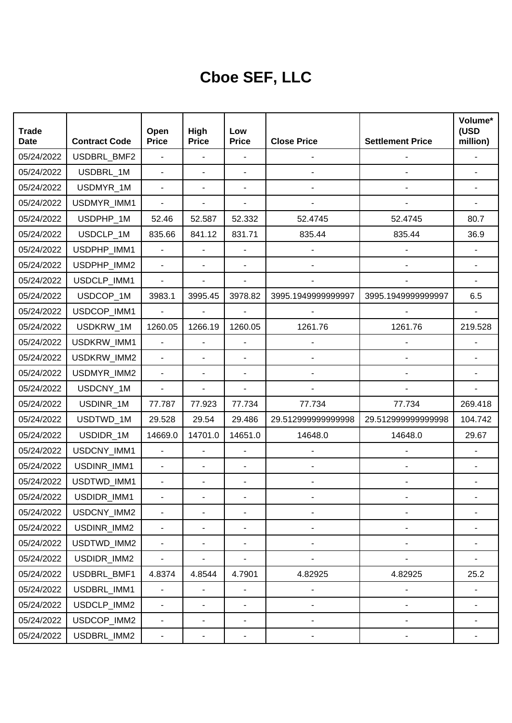## **Cboe SEF, LLC**

| <b>Trade</b><br><b>Date</b> | <b>Contract Code</b> | Open<br><b>Price</b>         | High<br><b>Price</b>     | Low<br><b>Price</b>          | <b>Close Price</b>           | <b>Settlement Price</b>      | Volume*<br>(USD<br>million) |
|-----------------------------|----------------------|------------------------------|--------------------------|------------------------------|------------------------------|------------------------------|-----------------------------|
| 05/24/2022                  | USDBRL_BMF2          | $\blacksquare$               | $\overline{\phantom{a}}$ | ÷,                           |                              |                              |                             |
| 05/24/2022                  | USDBRL_1M            | $\blacksquare$               | ä,                       | $\blacksquare$               |                              |                              |                             |
| 05/24/2022                  | USDMYR_1M            | $\blacksquare$               | ٠                        |                              |                              |                              |                             |
| 05/24/2022                  | USDMYR_IMM1          | $\blacksquare$               | ÷,                       | ÷,                           |                              |                              |                             |
| 05/24/2022                  | USDPHP_1M            | 52.46                        | 52.587                   | 52.332                       | 52.4745                      | 52.4745                      | 80.7                        |
| 05/24/2022                  | USDCLP 1M            | 835.66                       | 841.12                   | 831.71                       | 835.44                       | 835.44                       | 36.9                        |
| 05/24/2022                  | USDPHP_IMM1          | $\blacksquare$               | ä,                       |                              |                              |                              |                             |
| 05/24/2022                  | USDPHP_IMM2          | $\blacksquare$               | ÷,                       | $\blacksquare$               |                              |                              |                             |
| 05/24/2022                  | USDCLP_IMM1          | $\blacksquare$               | ٠                        | ÷,                           |                              |                              |                             |
| 05/24/2022                  | USDCOP_1M            | 3983.1                       | 3995.45                  | 3978.82                      | 3995.1949999999997           | 3995.1949999999997           | 6.5                         |
| 05/24/2022                  | USDCOP_IMM1          | $\blacksquare$               | $\blacksquare$           |                              |                              |                              |                             |
| 05/24/2022                  | USDKRW_1M            | 1260.05                      | 1266.19                  | 1260.05                      | 1261.76                      | 1261.76                      | 219.528                     |
| 05/24/2022                  | USDKRW_IMM1          | ä,                           | ä,                       |                              |                              |                              |                             |
| 05/24/2022                  | USDKRW_IMM2          |                              | ٠                        | ÷,                           |                              |                              |                             |
| 05/24/2022                  | USDMYR_IMM2          | $\blacksquare$               | ٠                        | ÷,                           |                              |                              |                             |
| 05/24/2022                  | USDCNY_1M            | $\blacksquare$               | ÷,                       | $\overline{\phantom{a}}$     |                              |                              |                             |
| 05/24/2022                  | USDINR_1M            | 77.787                       | 77.923                   | 77.734                       | 77.734                       | 77.734                       | 269.418                     |
| 05/24/2022                  | USDTWD_1M            | 29.528                       | 29.54                    | 29.486                       | 29.51299999999998            | 29.512999999999998           | 104.742                     |
| 05/24/2022                  | USDIDR_1M            | 14669.0                      | 14701.0                  | 14651.0                      | 14648.0                      | 14648.0                      | 29.67                       |
| 05/24/2022                  | USDCNY_IMM1          | $\blacksquare$               | ä,                       | $\overline{\phantom{a}}$     |                              |                              |                             |
| 05/24/2022                  | USDINR_IMM1          |                              | $\overline{\phantom{0}}$ | $\overline{a}$               |                              |                              |                             |
| 05/24/2022                  | USDTWD_IMM1          | $\blacksquare$               | ٠                        | ÷,                           |                              |                              |                             |
| 05/24/2022                  | USDIDR_IMM1          |                              |                          |                              |                              |                              |                             |
| 05/24/2022                  | USDCNY_IMM2          |                              | $\overline{\phantom{0}}$ |                              |                              |                              |                             |
| 05/24/2022                  | USDINR_IMM2          | $\overline{\phantom{a}}$     | $\overline{\phantom{0}}$ | $\qquad \qquad \blacksquare$ | $\qquad \qquad \blacksquare$ | $\overline{a}$               |                             |
| 05/24/2022                  | USDTWD_IMM2          | $\blacksquare$               | $\frac{1}{2}$            | $\blacksquare$               | $\qquad \qquad \blacksquare$ | $\qquad \qquad \blacksquare$ |                             |
| 05/24/2022                  | USDIDR_IMM2          | $\blacksquare$               | $\frac{1}{2}$            | $\blacksquare$               | $\qquad \qquad \blacksquare$ |                              |                             |
| 05/24/2022                  | USDBRL_BMF1          | 4.8374                       | 4.8544                   | 4.7901                       | 4.82925                      | 4.82925                      | 25.2                        |
| 05/24/2022                  | USDBRL_IMM1          | $\overline{\phantom{a}}$     | $\frac{1}{2}$            | $\blacksquare$               | $\overline{\phantom{a}}$     | $\qquad \qquad \blacksquare$ |                             |
| 05/24/2022                  | USDCLP_IMM2          | $\blacksquare$               | ٠                        | $\overline{\phantom{a}}$     | -                            | $\qquad \qquad \blacksquare$ |                             |
| 05/24/2022                  | USDCOP_IMM2          | $\qquad \qquad \blacksquare$ | $\overline{\phantom{0}}$ | $\overline{\phantom{a}}$     | -                            | $\overline{a}$               |                             |
| 05/24/2022                  | USDBRL_IMM2          | ۰                            | ۰                        | ۰                            |                              |                              |                             |